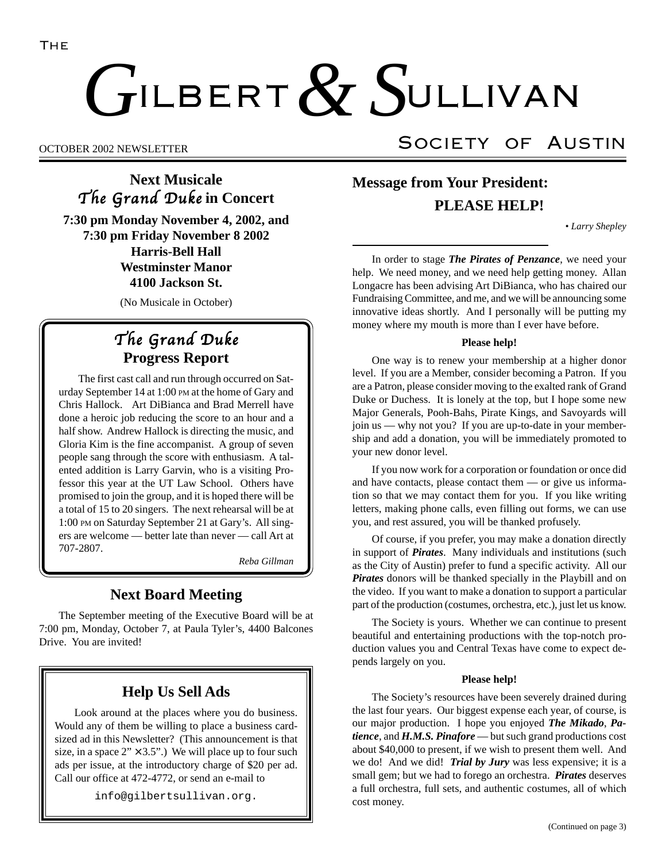# ILBERT  $\alpha$  SULLIVAN  $G$ ILBERT  $& S$

## **Next Musicale** The Grand Duke in Concert

**7:30 pm Monday November 4, 2002, and 7:30 pm Friday November 8 2002 Harris-Bell Hall Westminster Manor 4100 Jackson St.**

(No Musicale in October)

## The Grand Duke **Progress Report**

The first cast call and run through occurred on Saturday September 14 at 1:00 PM at the home of Gary and Chris Hallock. Art DiBianca and Brad Merrell have done a heroic job reducing the score to an hour and a half show. Andrew Hallock is directing the music, and Gloria Kim is the fine accompanist. A group of seven people sang through the score with enthusiasm. A talented addition is Larry Garvin, who is a visiting Professor this year at the UT Law School. Others have promised to join the group, and it is hoped there will be a total of 15 to 20 singers. The next rehearsal will be at 1:00 PM on Saturday September 21 at Gary's. All singers are welcome — better late than never — call Art at 707-2807.

*Reba Gillman*

## **Next Board Meeting**

The September meeting of the Executive Board will be at 7:00 pm, Monday, October 7, at Paula Tyler's, 4400 Balcones Drive. You are invited!

## **Help Us Sell Ads**

Look around at the places where you do business. Would any of them be willing to place a business cardsized ad in this Newsletter? (This announcement is that size, in a space  $2" \times 3.5"$ .) We will place up to four such ads per issue, at the introductory charge of \$20 per ad. Call our office at 472-4772, or send an e-mail to

info@gilbertsullivan.org.

## OCTOBER 2002 NEWSLETTER SOCIETY OF AUSTIN

## **Message from Your President: PLEASE HELP!**

*• Larry Shepley*

In order to stage *The Pirates of Penzance*, we need your help. We need money, and we need help getting money. Allan Longacre has been advising Art DiBianca, who has chaired our Fundraising Committee, and me, and we will be announcing some innovative ideas shortly. And I personally will be putting my money where my mouth is more than I ever have before.

#### **Please help!**

One way is to renew your membership at a higher donor level. If you are a Member, consider becoming a Patron. If you are a Patron, please consider moving to the exalted rank of Grand Duke or Duchess. It is lonely at the top, but I hope some new Major Generals, Pooh-Bahs, Pirate Kings, and Savoyards will join us — why not you? If you are up-to-date in your membership and add a donation, you will be immediately promoted to your new donor level.

If you now work for a corporation or foundation or once did and have contacts, please contact them — or give us information so that we may contact them for you. If you like writing letters, making phone calls, even filling out forms, we can use you, and rest assured, you will be thanked profusely.

Of course, if you prefer, you may make a donation directly in support of *Pirates*. Many individuals and institutions (such as the City of Austin) prefer to fund a specific activity. All our *Pirates* donors will be thanked specially in the Playbill and on the video. If you want to make a donation to support a particular part of the production (costumes, orchestra, etc.), just let us know.

The Society is yours. Whether we can continue to present beautiful and entertaining productions with the top-notch production values you and Central Texas have come to expect depends largely on you.

#### **Please help!**

The Society's resources have been severely drained during the last four years. Our biggest expense each year, of course, is our major production. I hope you enjoyed *The Mikado*, *Patience*, and *H.M.S. Pinafore* — but such grand productions cost about \$40,000 to present, if we wish to present them well. And we do! And we did! *Trial by Jury* was less expensive; it is a small gem; but we had to forego an orchestra. *Pirates* deserves a full orchestra, full sets, and authentic costumes, all of which cost money.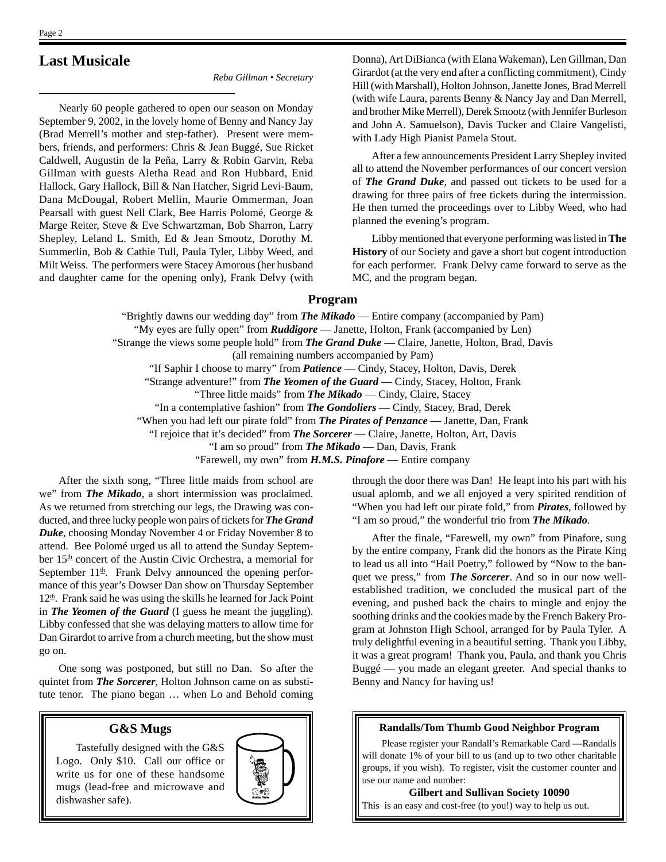## **Last Musicale**

*Reba Gillman • Secretary*

Nearly 60 people gathered to open our season on Monday September 9, 2002, in the lovely home of Benny and Nancy Jay (Brad Merrell's mother and step-father). Present were members, friends, and performers: Chris & Jean Buggé, Sue Ricket Caldwell, Augustin de la Peña, Larry & Robin Garvin, Reba Gillman with guests Aletha Read and Ron Hubbard, Enid Hallock, Gary Hallock, Bill & Nan Hatcher, Sigrid Levi-Baum, Dana McDougal, Robert Mellin, Maurie Ommerman, Joan Pearsall with guest Nell Clark, Bee Harris Polomé, George & Marge Reiter, Steve & Eve Schwartzman, Bob Sharron, Larry Shepley, Leland L. Smith, Ed & Jean Smootz, Dorothy M. Summerlin, Bob & Cathie Tull, Paula Tyler, Libby Weed, and Milt Weiss. The performers were Stacey Amorous (her husband and daughter came for the opening only), Frank Delvy (with Donna), Art DiBianca (with Elana Wakeman), Len Gillman, Dan Girardot (at the very end after a conflicting commitment), Cindy Hill (with Marshall), Holton Johnson, Janette Jones, Brad Merrell (with wife Laura, parents Benny & Nancy Jay and Dan Merrell, and brother Mike Merrell), Derek Smootz (with Jennifer Burleson and John A. Samuelson), Davis Tucker and Claire Vangelisti, with Lady High Pianist Pamela Stout.

After a few announcements President Larry Shepley invited all to attend the November performances of our concert version of *The Grand Duke*, and passed out tickets to be used for a drawing for three pairs of free tickets during the intermission. He then turned the proceedings over to Libby Weed, who had planned the evening's program.

Libby mentioned that everyone performing was listed in **The History** of our Society and gave a short but cogent introduction for each performer. Frank Delvy came forward to serve as the MC, and the program began.

#### **Program**

"Brightly dawns our wedding day" from *The Mikado* — Entire company (accompanied by Pam) "My eyes are fully open" from *Ruddigore* — Janette, Holton, Frank (accompanied by Len) "Strange the views some people hold" from *The Grand Duke* — Claire, Janette, Holton, Brad, Davis (all remaining numbers accompanied by Pam) "If Saphir I choose to marry" from *Patience* — Cindy, Stacey, Holton, Davis, Derek "Strange adventure!" from *The Yeomen of the Guard* — Cindy, Stacey, Holton, Frank "Three little maids" from *The Mikado* — Cindy, Claire, Stacey "In a contemplative fashion" from *The Gondoliers* — Cindy, Stacey, Brad, Derek "When you had left our pirate fold" from *The Pirates of Penzance* — Janette, Dan, Frank "I rejoice that it's decided" from *The Sorcerer* — Claire, Janette, Holton, Art, Davis "I am so proud" from *The Mikado* — Dan, Davis, Frank "Farewell, my own" from *H.M.S. Pinafore* — Entire company After the sixth song, "Three little maids from school are

we" from *The Mikado*, a short intermission was proclaimed. As we returned from stretching our legs, the Drawing was conducted, and three lucky people won pairs of tickets for *The Grand Duke*, choosing Monday November 4 or Friday November 8 to attend. Bee Polomé urged us all to attend the Sunday September 15<sup>th</sup> concert of the Austin Civic Orchestra, a memorial for September  $11<sup>th</sup>$ . Frank Delvy announced the opening performance of this year's Dowser Dan show on Thursday September  $12<sup>th</sup>$ . Frank said he was using the skills he learned for Jack Point in *The Yeomen of the Guard* (I guess he meant the juggling). Libby confessed that she was delaying matters to allow time for Dan Girardot to arrive from a church meeting, but the show must go on.

One song was postponed, but still no Dan. So after the quintet from *The Sorcerer*, Holton Johnson came on as substitute tenor. The piano began … when Lo and Behold coming

#### **G&S Mugs**

Tastefully designed with the G&S Logo. Only \$10. Call our office or write us for one of these handsome mugs (lead-free and microwave and dishwasher safe).



through the door there was Dan! He leapt into his part with his usual aplomb, and we all enjoyed a very spirited rendition of "When you had left our pirate fold," from *Pirates*, followed by "I am so proud," the wonderful trio from *The Mikado*.

After the finale, "Farewell, my own" from Pinafore, sung by the entire company, Frank did the honors as the Pirate King to lead us all into "Hail Poetry," followed by "Now to the banquet we press," from *The Sorcerer*. And so in our now wellestablished tradition, we concluded the musical part of the evening, and pushed back the chairs to mingle and enjoy the soothing drinks and the cookies made by the French Bakery Program at Johnston High School, arranged for by Paula Tyler. A truly delightful evening in a beautiful setting. Thank you Libby, it was a great program! Thank you, Paula, and thank you Chris Buggé — you made an elegant greeter. And special thanks to Benny and Nancy for having us!

#### **Randalls/Tom Thumb Good Neighbor Program**

Please register your Randall's Remarkable Card —Randalls will donate 1% of your bill to us (and up to two other charitable groups, if you wish). To register, visit the customer counter and use our name and number:

**Gilbert and Sullivan Society 10090** This is an easy and cost-free (to you!) way to help us out.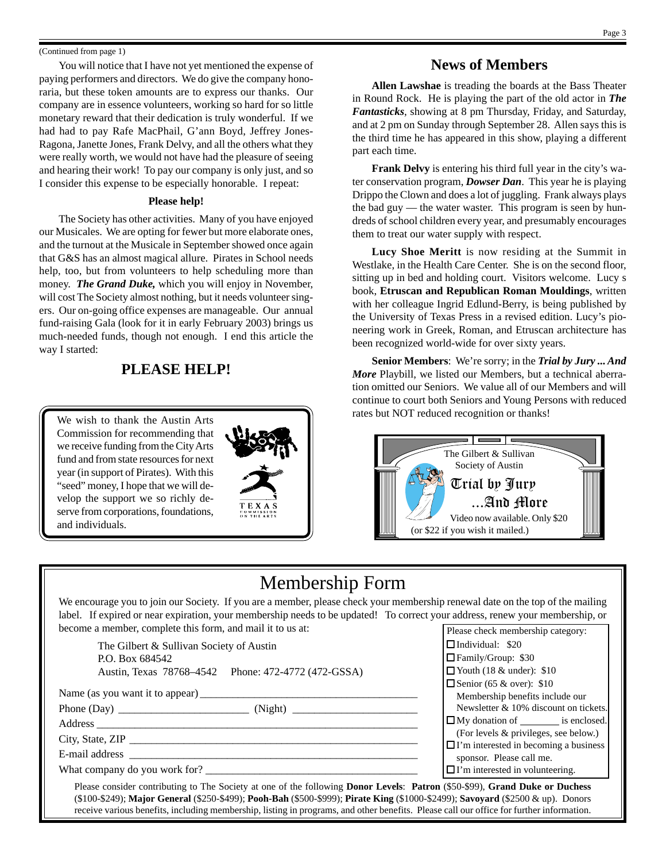#### (Continued from page 1)

You will notice that I have not yet mentioned the expense of paying performers and directors. We do give the company honoraria, but these token amounts are to express our thanks. Our company are in essence volunteers, working so hard for so little monetary reward that their dedication is truly wonderful. If we had had to pay Rafe MacPhail, G'ann Boyd, Jeffrey Jones-Ragona, Janette Jones, Frank Delvy, and all the others what they were really worth, we would not have had the pleasure of seeing and hearing their work! To pay our company is only just, and so I consider this expense to be especially honorable. I repeat:

#### **Please help!**

The Society has other activities. Many of you have enjoyed our Musicales. We are opting for fewer but more elaborate ones, and the turnout at the Musicale in September showed once again that G&S has an almost magical allure. Pirates in School needs help, too, but from volunteers to help scheduling more than money. *The Grand Duke,* which you will enjoy in November, will cost The Society almost nothing, but it needs volunteer singers. Our on-going office expenses are manageable. Our annual fund-raising Gala (look for it in early February 2003) brings us much-needed funds, though not enough. I end this article the way I started:

### **PLEASE HELP!**

We wish to thank the Austin Arts Commission for recommending that we receive funding from the City Arts fund and from state resources for next year (in support of Pirates). With this "seed" money, I hope that we will develop the support we so richly deserve from corporations, foundations, and individuals.



## **News of Members**

**Allen Lawshae** is treading the boards at the Bass Theater in Round Rock. He is playing the part of the old actor in *The Fantasticks*, showing at 8 pm Thursday, Friday, and Saturday, and at 2 pm on Sunday through September 28. Allen says this is the third time he has appeared in this show, playing a different part each time.

**Frank Delvy** is entering his third full year in the city's water conservation program, *Dowser Dan*. This year he is playing Drippo the Clown and does a lot of juggling. Frank always plays the bad guy — the water waster. This program is seen by hundreds of school children every year, and presumably encourages them to treat our water supply with respect.

**Lucy Shoe Meritt** is now residing at the Summit in Westlake, in the Health Care Center. She is on the second floor, sitting up in bed and holding court. Visitors welcome. Lucy s book, **Etruscan and Republican Roman Mouldings**, written with her colleague Ingrid Edlund-Berry, is being published by the University of Texas Press in a revised edition. Lucy's pioneering work in Greek, Roman, and Etruscan architecture has been recognized world-wide for over sixty years.

**Senior Members**: We're sorry; in the *Trial by Jury ... And More* Playbill, we listed our Members, but a technical aberration omitted our Seniors. We value all of our Members and will continue to court both Seniors and Young Persons with reduced rates but NOT reduced recognition or thanks!



## Membership Form

We encourage you to join our Society. If you are a member, please check your membership renewal date on the top of the mailing label. If expired or near expiration, your membership needs to be updated! To correct your address, renew your membership, or become a member, complete this form, and mail it to us at: Please check membership category:

| The Gilbert & Sullivan Society of Austin                                                                                                 | $\Box$ Individual: \$20                      |
|------------------------------------------------------------------------------------------------------------------------------------------|----------------------------------------------|
| P.O. Box 684542                                                                                                                          | Family/Group: \$30                           |
| Austin, Texas 78768–4542 Phone: 472-4772 (472-GSSA)                                                                                      | $\Box$ Youth (18 & under): \$10              |
|                                                                                                                                          | Senior (65 & over): $$10$                    |
|                                                                                                                                          | Membership benefits include our              |
|                                                                                                                                          | Newsletter & 10% discount on tickets.        |
|                                                                                                                                          | $\Box$ My donation of $\Box$ is enclosed.    |
| City, State, ZIP                                                                                                                         | (For levels & privileges, see below.)        |
|                                                                                                                                          | $\Box$ I'm interested in becoming a business |
|                                                                                                                                          | sponsor. Please call me.                     |
| What company do you work for?                                                                                                            | $\Box$ I'm interested in volunteering.       |
| Please consider contributing to The Society at one of the following <b>Donor Levels: Patron</b> (\$50-\$99), Grand Duke or Duchess       |                                              |
| (\$100-\$249); Major General (\$250-\$499); Pooh-Bah (\$500-\$999); Pirate King (\$1000-\$2499); Savoyard (\$2500 & up). Donors          |                                              |
| receive various benefits, including membership, listing in programs, and other benefits. Please call our office for further information. |                                              |